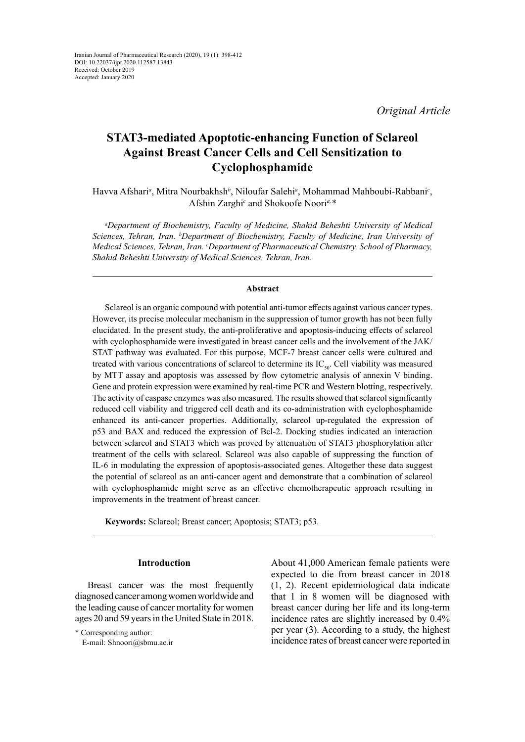*Original Article*

# **STAT3-mediated Apoptotic-enhancing Function of Sclareol Against Breast Cancer Cells and Cell Sensitization to Cyclophosphamide**

Havva Afshari*<sup>a</sup>* , Mitra Nourbakhsh*<sup>b</sup>* , Niloufar Salehi*<sup>a</sup>* , Mohammad Mahboubi-Rabbani*<sup>c</sup>* , Afshin Zarghi<sup>c</sup> and Shokoofe Noori<sup>a, \*</sup>

*a Department of Biochemistry, Faculty of Medicine, Shahid Beheshti University of Medical Sciences, Tehran, Iran. b Department of Biochemistry, Faculty of Medicine, Iran University of Medical Sciences, Tehran, Iran. c Department of Pharmaceutical Chemistry, School of Pharmacy, Shahid Beheshti University of Medical Sciences, Tehran, Iran*.

# **Abstract**

Sclareol is an organic compound with potential anti-tumor effects against various cancer types. However, its precise molecular mechanism in the suppression of tumor growth has not been fully elucidated. In the present study, the anti-proliferative and apoptosis-inducing effects of sclareol with cyclophosphamide were investigated in breast cancer cells and the involvement of the JAK/ STAT pathway was evaluated. For this purpose, MCF-7 breast cancer cells were cultured and treated with various concentrations of sclareol to determine its  $IC_{50}$ . Cell viability was measured by MTT assay and apoptosis was assessed by flow cytometric analysis of annexin V binding. Gene and protein expression were examined by real-time PCR and Western blotting, respectively. The activity of caspase enzymes was also measured. The results showed that sclareol significantly reduced cell viability and triggered cell death and its co-administration with cyclophosphamide enhanced its anti-cancer properties. Additionally, sclareol up-regulated the expression of p53 and BAX and reduced the expression of Bcl-2. Docking studies indicated an interaction between sclareol and STAT3 which was proved by attenuation of STAT3 phosphorylation after treatment of the cells with sclareol. Sclareol was also capable of suppressing the function of IL-6 in modulating the expression of apoptosis-associated genes. Altogether these data suggest the potential of sclareol as an anti-cancer agent and demonstrate that a combination of sclareol with cyclophosphamide might serve as an effective chemotherapeutic approach resulting in improvements in the treatment of breast cancer.

**Keywords:** Sclareol; Breast cancer; Apoptosis; STAT3; p53.

# **Introduction**

Breast cancer was the most frequently diagnosed cancer among women worldwide and the leading cause of cancer mortality for women ages 20 and 59 years in the United State in 2018. About 41,000 American female patients were expected to die from breast cancer in 2018 (1, 2). Recent epidemiological data indicate that 1 in 8 women will be diagnosed with breast cancer during her life and its long-term incidence rates are slightly increased by 0.4% per year (3). According to a study, the highest incidence rates of breast cancer were reported in

<sup>\*</sup> Corresponding author: E-mail: Shnoori@sbmu.ac.ir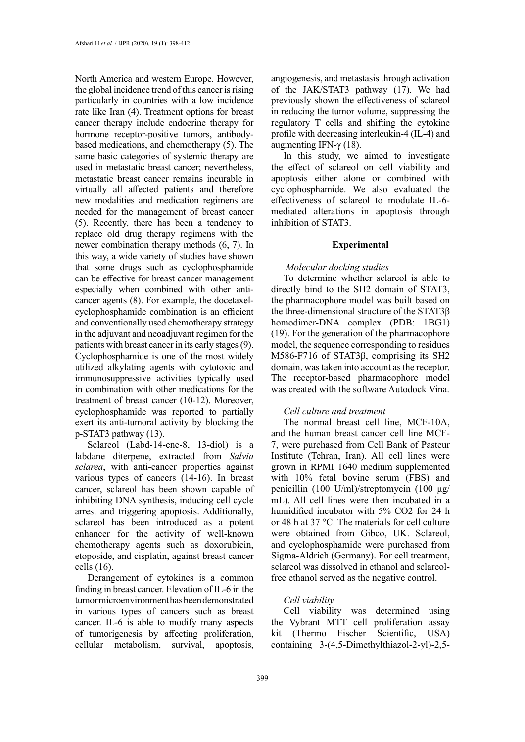North America and western Europe. However, the global incidence trend of this cancer is rising particularly in countries with a low incidence rate like Iran (4). Treatment options for breast cancer therapy include endocrine therapy for hormone receptor-positive tumors, antibodybased medications, and chemotherapy (5). The same basic categories of systemic therapy are used in metastatic breast cancer; nevertheless, metastatic breast cancer remains incurable in virtually all affected patients and therefore new modalities and medication regimens are needed for the management of breast cancer (5). Recently, there has been a tendency to replace old drug therapy regimens with the newer combination therapy methods (6, 7). In this way, a wide variety of studies have shown that some drugs such as cyclophosphamide can be effective for breast cancer management especially when combined with other anticancer agents (8). For example, the docetaxelcyclophosphamide combination is an efficient and conventionally used chemotherapy strategy in the adjuvant and neoadjuvant regimen for the patients with breast cancer in its early stages (9). Cyclophosphamide is one of the most widely utilized alkylating agents with cytotoxic and immunosuppressive activities typically used in combination with other medications for the treatment of breast cancer (10-12). Moreover, cyclophosphamide was reported to partially exert its anti-tumoral activity by blocking the p-STAT3 pathway (13).

Sclareol (Labd-14-ene-8, 13-diol) is a labdane diterpene, extracted from *Salvia sclarea*, with anti-cancer properties against various types of cancers (14-16). In breast cancer, sclareol has been shown capable of inhibiting DNA synthesis, inducing cell cycle arrest and triggering apoptosis. Additionally, sclareol has been introduced as a potent enhancer for the activity of well-known chemotherapy agents such as doxorubicin, etoposide, and cisplatin, against breast cancer cells (16).

Derangement of cytokines is a common finding in breast cancer. Elevation of IL-6 in the tumor microenvironment has been demonstrated in various types of cancers such as breast cancer. IL-6 is able to modify many aspects of tumorigenesis by affecting proliferation, cellular metabolism, survival, apoptosis,

angiogenesis, and metastasis through activation of the JAK/STAT3 pathway (17). We had previously shown the effectiveness of sclareol in reducing the tumor volume, suppressing the regulatory T cells and shifting the cytokine profile with decreasing interleukin-4 (IL-4) and augmenting IFN-γ (18).

In this study, we aimed to investigate the effect of sclareol on cell viability and apoptosis either alone or combined with cyclophosphamide. We also evaluated the effectiveness of sclareol to modulate IL-6 mediated alterations in apoptosis through inhibition of STAT3.

# **Experimental**

# *Molecular docking studies*

To determine whether sclareol is able to directly bind to the SH2 domain of STAT3, the pharmacophore model was built based on the three-dimensional structure of the STAT3β homodimer-DNA complex (PDB: 1BG1) (19). For the generation of the pharmacophore model, the sequence corresponding to residues M586-F716 of STAT3β, comprising its SH2 domain, was taken into account as the receptor. The receptor-based pharmacophore model was created with the software Autodock Vina.

# *Cell culture and treatment*

The normal breast cell line, MCF-10A, and the human breast cancer cell line MCF-7, were purchased from Cell Bank of Pasteur Institute (Tehran, Iran). All cell lines were grown in RPMI 1640 medium supplemented with 10% fetal bovine serum (FBS) and penicillin (100 U/ml)/streptomycin (100 μg/ mL). All cell lines were then incubated in a humidified incubator with 5% CO2 for 24 h or 48 h at 37 °C. The materials for cell culture were obtained from Gibco, UK. Sclareol, and cyclophosphamide were purchased from Sigma-Aldrich (Germany). For cell treatment, sclareol was dissolved in ethanol and sclareolfree ethanol served as the negative control.

# *Cell viability*

Cell viability was determined using the Vybrant MTT cell proliferation assay kit (Thermo Fischer Scientific, USA) containing 3-(4,5-Dimethylthiazol-2-yl)-2,5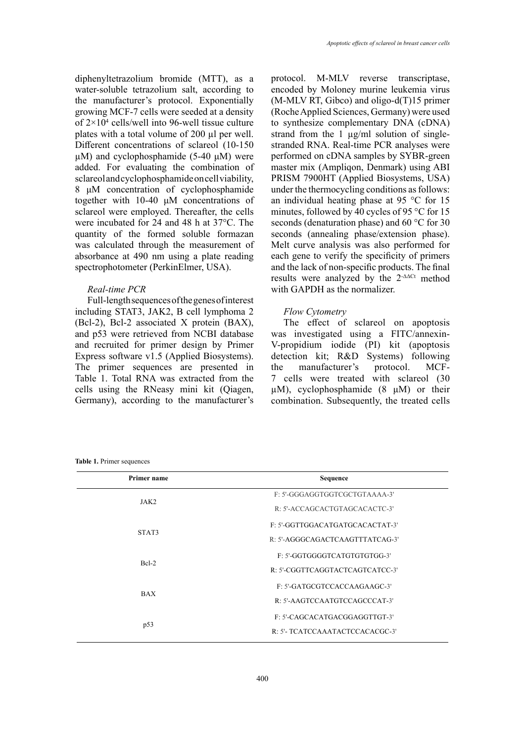diphenyltetrazolium bromide (MTT), as a water-soluble tetrazolium salt, according to the manufacturer's protocol. Exponentially growing MCF-7 cells were seeded at a density of 2×104 cells/well into 96-well tissue culture plates with a total volume of 200 µl per well. Different concentrations of sclareol (10-150  $\mu$ M) and cyclophosphamide (5-40  $\mu$ M) were added. For evaluating the combination of sclareol and cyclophosphamide on cell viability, 8 μM concentration of cyclophosphamide together with 10-40 μM concentrations of sclareol were employed. Thereafter, the cells were incubated for 24 and 48 h at 37°C. The quantity of the formed soluble formazan was calculated through the measurement of absorbance at 490 nm using a plate reading spectrophotometer (PerkinElmer, USA).

# *Real-time PCR*

Full-length sequences of the genes of interest including STAT3, JAK2, B cell lymphoma 2 (Bcl-2), Bcl-2 associated X protein (BAX), and p53 were retrieved from NCBI database and recruited for primer design by Primer Express software v1.5 (Applied Biosystems). The primer sequences are presented in Table 1. Total RNA was extracted from the cells using the RNeasy mini kit (Qiagen, Germany), according to the manufacturer's

protocol. M-MLV reverse transcriptase, encoded by Moloney murine leukemia virus  $(M-MLV RT, Gibco)$  and oligo-d $(T)15$  primer (Roche Applied Sciences, Germany) were used to synthesize complementary DNA (cDNA) strand from the 1  $\mu$ g/ml solution of singlestranded RNA. Real-time PCR analyses were performed on cDNA samples by SYBR-green master mix (Ampliqon, Denmark) using ABI PRISM 7900HT (Applied Biosystems, USA) under the thermocycling conditions as follows: an individual heating phase at 95 °C for 15 minutes, followed by 40 cycles of 95 °C for 15 seconds (denaturation phase) and 60 °C for 30 seconds (annealing phase/extension phase). Melt curve analysis was also performed for each gene to verify the specificity of primers and the lack of non-specific products. The final results were analyzed by the 2-ΔΔCt method with GAPDH as the normalizer.

# *Flow Cytometry*

The effect of sclareol on apoptosis was investigated using a FITC/annexin-V-propidium iodide (PI) kit (apoptosis detection kit; R&D Systems) following the manufacturer's protocol. MCF-7 cells were treated with sclareol (30 µM), cyclophosphamide (8 μM) or their combination. Subsequently, the treated cells

**Table 1.** Primer sequences

| <b>Primer name</b> | Sequence                        |
|--------------------|---------------------------------|
| JAK2               | F: 5'-GGGAGGTGGTCGCTGTAAAA-3'   |
|                    | R: 5'-ACCAGCACTGTAGCACACTC-3'   |
| STAT3              | F: 5'-GGTTGGACATGATGCACACTAT-3' |
|                    | R: 5'-AGGGCAGACTCAAGTTTATCAG-3' |
| $Rcl-2$            | F: 5'-GGTGGGGTCATGTGTGTGG-3'    |
|                    | R: 5'-CGGTTCAGGTACTCAGTCATCC-3' |
| <b>BAX</b>         | F: 5'-GATGCGTCCACCAAGAAGC-3'    |
|                    | R: 5'-AAGTCCAATGTCCAGCCCAT-3'   |
| p53                | F: 5'-CAGCACATGACGGAGGTTGT-3'   |
|                    | R: 5'- TCATCCAAATACTCCACACGC-3' |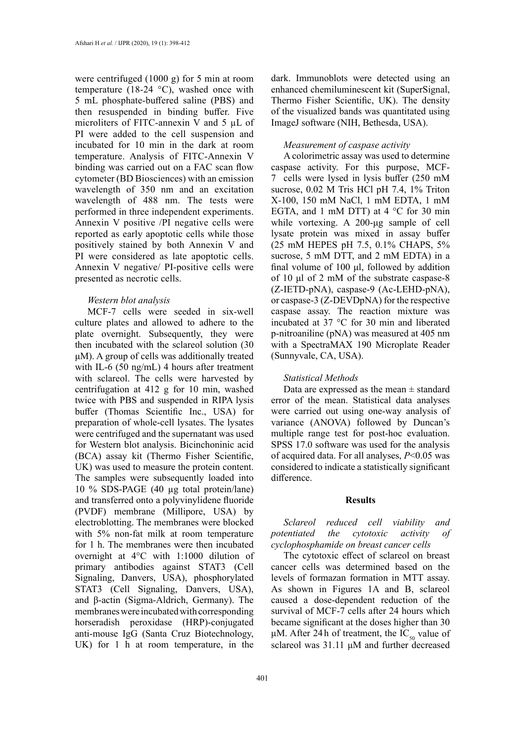were centrifuged (1000 g) for 5 min at room temperature (18-24 °C), washed once with 5 mL phosphate-buffered saline (PBS) and then resuspended in binding buffer. Five microliters of FITC-annexin V and 5 µL of PI were added to the cell suspension and incubated for 10 min in the dark at room temperature. Analysis of FITC-Annexin V binding was carried out on a FAC scan flow cytometer (BD Biosciences) with an emission wavelength of 350 nm and an excitation wavelength of 488 nm. The tests were performed in three independent experiments. Annexin V positive /PI negative cells were reported as early apoptotic cells while those positively stained by both Annexin V and PI were considered as late apoptotic cells. Annexin V negative/ PI-positive cells were presented as necrotic cells.

#### *Western blot analysis*

MCF-7 cells were seeded in six-well culture plates and allowed to adhere to the plate overnight. Subsequently, they were then incubated with the sclareol solution (30 μM). A group of cells was additionally treated with IL-6 (50 ng/mL) 4 hours after treatment with sclareol. The cells were harvested by centrifugation at 412 g for 10 min, washed twice with PBS and suspended in RIPA lysis buffer (Thomas Scientific Inc., USA) for preparation of whole-cell lysates. The lysates were centrifuged and the supernatant was used for Western blot analysis. Bicinchoninic acid (BCA) assay kit (Thermo Fisher Scientific, UK) was used to measure the protein content. The samples were subsequently loaded into 10 % SDS-PAGE (40 µg total protein/lane) and transferred onto a polyvinylidene fluoride (PVDF) membrane (Millipore, USA) by electroblotting. The membranes were blocked with 5% non-fat milk at room temperature for 1 h. The membranes were then incubated overnight at 4°C with 1:1000 dilution of primary antibodies against STAT3 (Cell Signaling, Danvers, USA), phosphorylated STAT3 (Cell Signaling, Danvers, USA), and β-actin (Sigma-Aldrich, Germany). The membranes were incubated with corresponding horseradish peroxidase (HRP)-conjugated anti-mouse IgG (Santa Cruz Biotechnology, UK) for 1 h at room temperature, in the

dark. Immunoblots were detected using an enhanced chemiluminescent kit (SuperSignal, Thermo Fisher Scientific, UK). The density of the visualized bands was quantitated using ImageJ software (NIH, Bethesda, USA).

## *Measurement of caspase activity*

A colorimetric assay was used to determine caspase activity. For this purpose, MCF-7 cells were lysed in lysis buffer (250 mM sucrose, 0.02 M Tris HCl pH 7.4, 1% Triton X-100, 150 mM NaCl, 1 mM EDTA, 1 mM EGTA, and 1 mM DTT) at 4 °C for 30 min while vortexing. A 200-μg sample of cell lysate protein was mixed in assay buffer (25 mM HEPES pH 7.5, 0.1% CHAPS, 5% sucrose, 5 mM DTT, and 2 mM EDTA) in a final volume of 100 μl, followed by addition of 10 μl of 2 mM of the substrate caspase-8 (Z-IETD-pNA), caspase-9 (Ac-LEHD-pNA), or caspase-3 (Z-DEVDpNA) for the respective caspase assay. The reaction mixture was incubated at 37 °C for 30 min and liberated p-nitroaniline (pNA) was measured at 405 nm with a SpectraMAX 190 Microplate Reader (Sunnyvale, CA, USA).

# *Statistical Methods*

Data are expressed as the mean  $\pm$  standard error of the mean. Statistical data analyses were carried out using one-way analysis of variance (ANOVA) followed by Duncan's multiple range test for post-hoc evaluation. SPSS 17.0 software was used for the analysis of acquired data. For all analyses, *P*<0.05 was considered to indicate a statistically significant difference.

#### **Results**

*Sclareol reduced cell viability and potentiated the cytotoxic activity of cyclophosphamide on breast cancer cells*

The cytotoxic effect of sclareol on breast cancer cells was determined based on the levels of formazan formation in MTT assay. As shown in Figures 1A and B, sclareol caused a dose-dependent reduction of the survival of MCF-7 cells after 24 hours which became significant at the doses higher than 30 μM. After 24 h of treatment, the IC<sub>50</sub> value of sclareol was 31.11 μM and further decreased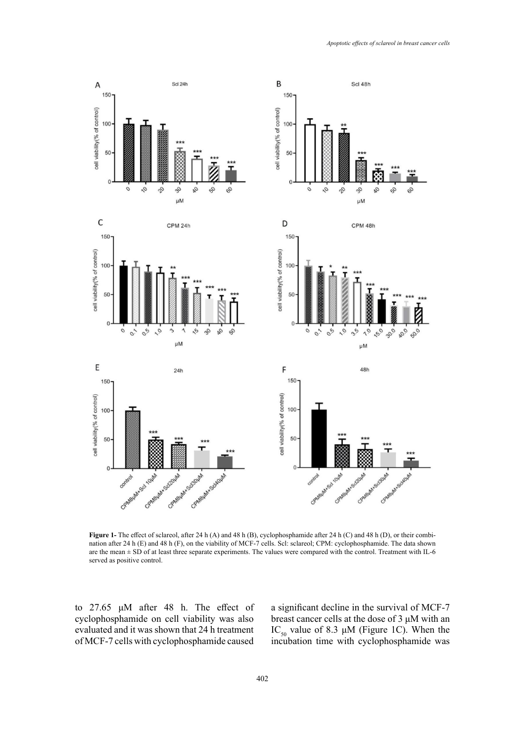

Figure 1- The effect of sclareol, after 24 h (A) and 48 h (B), cyclophosphamide after 24 h (C) and 48 h (D), or their combiare the mean  $\pm$  SD of at least three separate experiments. The values were compared with the control. Treatment with IL-6 nation after 24 h (E) and 48 h (F), on the viability of MCF-7 cells. Scl: sclareol; CPM: cyclophosphamide. The data shown served as positive control.

to 27.65 μM after 48 h. The effect of cyclophosphamide on cell viability was also evaluated and it was shown that 24 h treatment of MCF-7 cells with cyclophosphamide caused were compared with the control. Treatment with IL-6 served as positive control. The control of  $\frac{1}{2}$ 

a significant decline in the survival of MCF-7 breast cancer cells at the dose of 3 μM with an IC<sub>50</sub> value of 8.3  $\mu$ M (Figure 1C). When the incubation time with cyclophosphamide was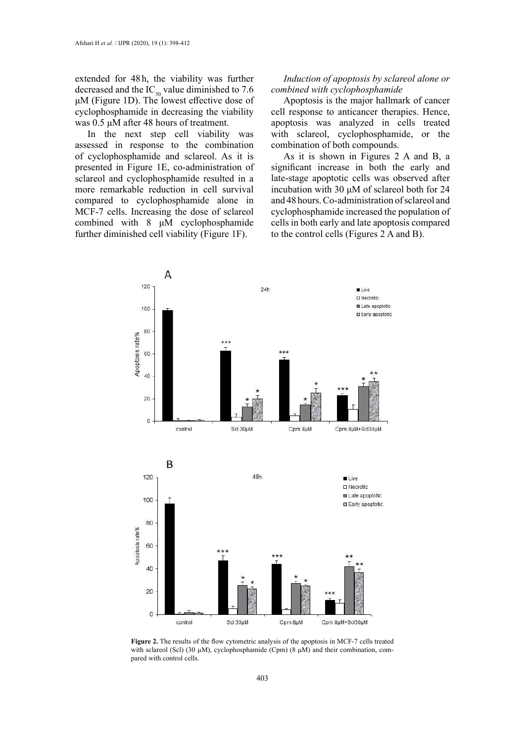extended for 48 h, the viability was further decreased and the  $IC_{50}$  value diminished to 7.6  $\mu$ M (Figure 1D). The lowest effective dose of cyclophosphamide in decreasing the viability was 0.5 μM after 48 hours of treatment.

In the next step cell viability was assessed in response to the combination of cyclophosphamide and sclareol. As it is presented in Figure 1E, co-administration of sclareol and cyclophosphamide resulted in a more remarkable reduction in cell survival compared to cyclophosphamide alone in MCF-7 cells. Increasing the dose of sclareol combined with 8 μM cyclophosphamide further diminished cell viability (Figure 1F).

# *Induction of apoptosis by sclareol alone or combined with cyclophosphamide*

Apoptosis is the major hallmark of cancer cell response to anticancer therapies. Hence, apoptosis was analyzed in cells treated with sclareol, cyclophosphamide, or the combination of both compounds.

As it is shown in Figures 2 A and B, a significant increase in both the early and late-stage apoptotic cells was observed after incubation with 30 μM of sclareol both for 24 and 48 hours. Co-administration of sclareol and cyclophosphamide increased the population of cells in both early and late apoptosis compared to the control cells (Figures 2 A and B).



**Figure 2.** The results of the flow cytometric analysis of the apoptosis in MCF-7 cells treated with sclareol (Scl) (30  $\mu$ M), cyclophosphamide (Cpm) (8  $\mu$ M) and their combination, compared with control cells.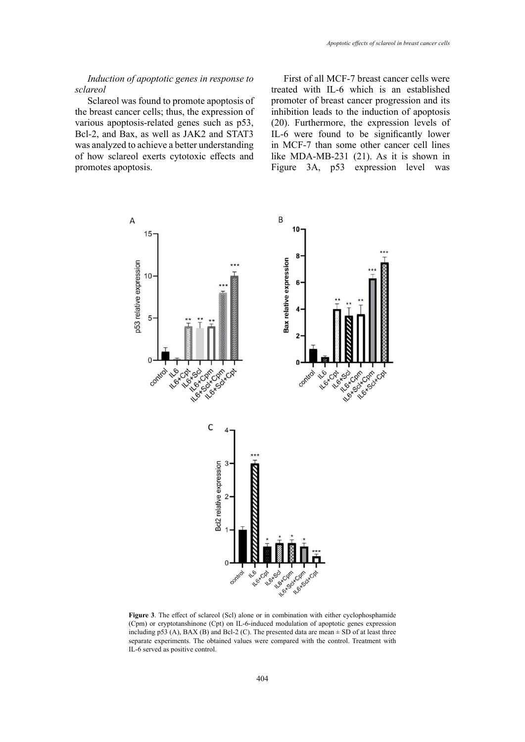# *Induction of apoptotic genes in response to sclareol*

Sclareol was found to promote apoptosis of the breast cancer cells; thus, the expression of various apoptosis-related genes such as p53, Bcl-2, and Bax, as well as JAK2 and STAT3 was analyzed to achieve a better understanding of how sclareol exerts cytotoxic effects and promotes apoptosis.

First of all MCF-7 breast cancer cells were treated with IL-6 which is an established promoter of breast cancer progression and its inhibition leads to the induction of apoptosis (20). Furthermore, the expression levels of IL-6 were found to be significantly lower in MCF-7 than some other cancer cell lines like MDA-MB-231 (21). As it is shown in Figure 3A, p53 expression level was



**Figure 3**. The effect of sclareol (Scl) alone or in combination with either cyclophosphamide separate experiments. The obtained values were compared with the control. Treatment with (Cpm) or cryptotanshinone (Cpt) on IL-6-induced modulation of apoptotic genes expression including p53 (A), BAX (B) and Bcl-2 (C). The presented data are mean  $\pm$  SD of at least three IL-6 served as positive control.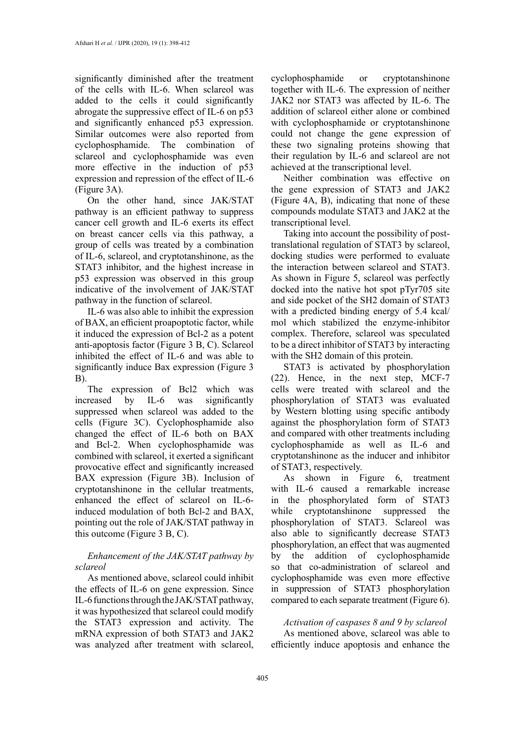significantly diminished after the treatment of the cells with IL-6. When sclareol was added to the cells it could significantly abrogate the suppressive effect of IL-6 on p53 and significantly enhanced p53 expression. Similar outcomes were also reported from cyclophosphamide. The combination of sclareol and cyclophosphamide was even more effective in the induction of p53 expression and repression of the effect of IL-6 (Figure 3A).

On the other hand, since JAK/STAT pathway is an efficient pathway to suppress cancer cell growth and IL-6 exerts its effect on breast cancer cells via this pathway, a group of cells was treated by a combination of IL-6, sclareol, and cryptotanshinone, as the STAT3 inhibitor, and the highest increase in p53 expression was observed in this group indicative of the involvement of JAK/STAT pathway in the function of sclareol.

IL-6 was also able to inhibit the expression of BAX, an efficient proapoptotic factor, while it induced the expression of Bcl-2 as a potent anti-apoptosis factor (Figure 3 B, C). Sclareol inhibited the effect of IL-6 and was able to significantly induce Bax expression (Figure 3 B).

The expression of Bcl2 which was increased by IL-6 was significantly suppressed when sclareol was added to the cells (Figure 3C). Cyclophosphamide also changed the effect of IL-6 both on BAX and Bcl-2. When cyclophosphamide was combined with sclareol, it exerted a significant provocative effect and significantly increased BAX expression (Figure 3B). Inclusion of cryptotanshinone in the cellular treatments, enhanced the effect of sclareol on IL-6 induced modulation of both Bcl-2 and BAX, pointing out the role of JAK/STAT pathway in this outcome (Figure 3 B, C).

# *Enhancement of the JAK/STAT pathway by sclareol*

As mentioned above, sclareol could inhibit the effects of IL-6 on gene expression. Since IL-6 functions through the JAK/STAT pathway, it was hypothesized that sclareol could modify the STAT3 expression and activity. The mRNA expression of both STAT3 and JAK2 was analyzed after treatment with sclareol,

cyclophosphamide or cryptotanshinone together with IL-6. The expression of neither JAK2 nor STAT3 was affected by IL-6. The addition of sclareol either alone or combined with cyclophosphamide or cryptotanshinone could not change the gene expression of these two signaling proteins showing that their regulation by IL-6 and sclareol are not achieved at the transcriptional level.

Neither combination was effective on the gene expression of STAT3 and JAK2 (Figure 4A, B), indicating that none of these compounds modulate STAT3 and JAK2 at the transcriptional level.

Taking into account the possibility of posttranslational regulation of STAT3 by sclareol, docking studies were performed to evaluate the interaction between sclareol and STAT3. As shown in Figure 5, sclareol was perfectly docked into the native hot spot pTyr705 site and side pocket of the SH2 domain of STAT3 with a predicted binding energy of 5.4 kcal/ mol which stabilized the enzyme-inhibitor complex. Therefore, sclareol was speculated to be a direct inhibitor of STAT3 by interacting with the SH2 domain of this protein.

STAT3 is activated by phosphorylation (22). Hence, in the next step, MCF-7 cells were treated with sclareol and the phosphorylation of STAT3 was evaluated by Western blotting using specific antibody against the phosphorylation form of STAT3 and compared with other treatments including cyclophosphamide as well as IL-6 and cryptotanshinone as the inducer and inhibitor of STAT3, respectively.

As shown in Figure 6, treatment with IL-6 caused a remarkable increase in the phosphorylated form of STAT3 while cryptotanshinone suppressed the phosphorylation of STAT3. Sclareol was also able to significantly decrease STAT3 phosphorylation, an effect that was augmented by the addition of cyclophosphamide so that co-administration of sclareol and cyclophosphamide was even more effective in suppression of STAT3 phosphorylation compared to each separate treatment (Figure 6).

# *Activation of caspases 8 and 9 by sclareol*

As mentioned above, sclareol was able to efficiently induce apoptosis and enhance the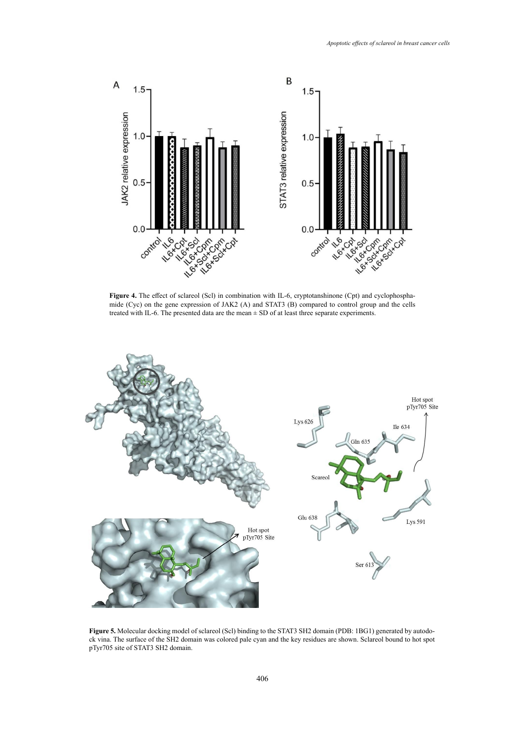

mide (Cyc) on the gene expression of JAK2 (A) and STAT3 (B) compared to control group and the cells Figure 4. The effect of sclareol (Scl) in combination with IL-6, cryptotanshinone (Cpt) and cyclophosphatreated with IL-6. The presented data are the mean  $\pm$  SD of at least three separate experiments.



Figure 5. Molecular docking model of sclareol (Scl) binding to the STAT3 SH2 domain (PDB: 1BG1) generated by autodopTyr705 site of STAT3 SH2 domain. ck vina. The surface of the SH2 domain was colored pale cyan and the key residues are shown. Sclareol bound to hot spot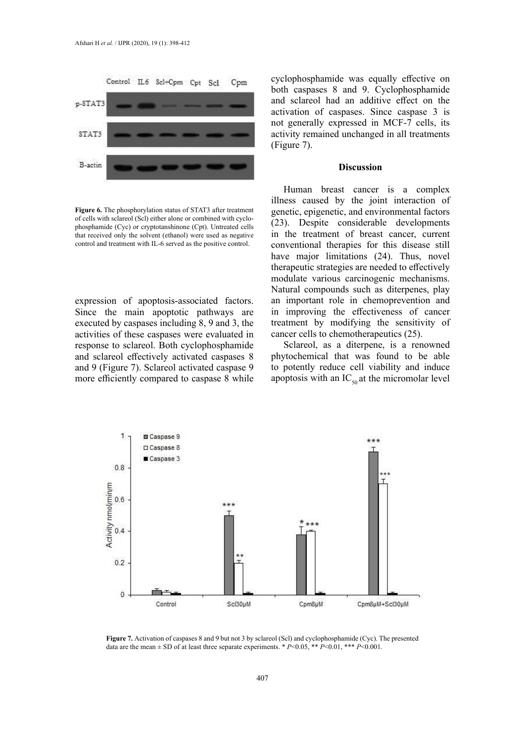

Figure 6. The phosphorylation status of STAT3 after treatment genetic, epigenetic, and env that received only the solvent (ethanol) were used as negative  $\overline{\text{in}}$  the treatment of breas of cells with sclareol (Scl) either alone or combined with cyclophosphamide (Cyc) or cryptotanshinone (Cpt). Untreated cells control and treatment with IL-6 served as the positive control.

expression of apoptosis-associated factors. Since the main apoptotic pathways are executed by caspases including 8, 9 and 3, the activities of these caspases were evaluated in response to sclareol. Both cyclophosphamide and sclareol effectively activated caspases 8 and 9 (Figure 7). Sclareol activated caspase 9 more efficiently compared to caspase 8 while cyclophosphamide was equally effective on both caspases 8 and 9. Cyclophosphamide and sclareol had an additive effect on the activation of caspases. Since caspase 3 is not generally expressed in MCF-7 cells, its activity remained unchanged in all treatments (Figure 7).

## **Discussion**

Human breast cancer is a complex illness caused by the joint interaction of genetic, epigenetic, and environmental factors (23). Despite considerable developments in the treatment of breast cancer, current conventional therapies for this disease still have major limitations (24). Thus, novel therapeutic strategies are needed to effectively modulate various carcinogenic mechanisms. Natural compounds such as diterpenes, play an important role in chemoprevention and in improving the effectiveness of cancer treatment by modifying the sensitivity of cancer cells to chemotherapeutics (25).

> Sclareol, as a diterpene, is a renowned phytochemical that was found to be able to potently reduce cell viability and induce apoptosis with an  $IC_{50}$  at the micromolar level



**Figure 7.** Activation of caspases 8 and 9 but not 3 by sclareol (Scl) and cyclophosphamide (Cyc). The presented  $\frac{1}{2}$ data are the mean  $\pm$  SD of at least three separate experiments. \* *P*<0.05, \*\* *P*<0.01, \*\*\* *P*<0.001.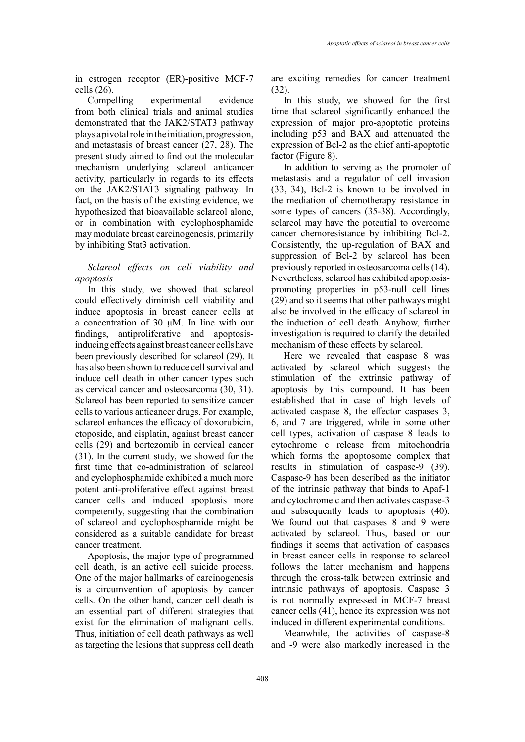in estrogen receptor (ER)-positive MCF-7 cells (26).

Compelling experimental evidence from both clinical trials and animal studies demonstrated that the JAK2/STAT3 pathway plays a pivotal role in the initiation, progression, and metastasis of breast cancer (27, 28). The present study aimed to find out the molecular mechanism underlying sclareol anticancer activity, particularly in regards to its effects on the JAK2/STAT3 signaling pathway. In fact, on the basis of the existing evidence, we hypothesized that bioavailable sclareol alone, or in combination with cyclophosphamide may modulate breast carcinogenesis, primarily by inhibiting Stat3 activation.

# *Sclareol effects on cell viability and apoptosis*

In this study, we showed that sclareol could effectively diminish cell viability and induce apoptosis in breast cancer cells at a concentration of 30 μM. In line with our findings, antiproliferative and apoptosisinducing effects against breast cancer cells have been previously described for sclareol (29). It has also been shown to reduce cell survival and induce cell death in other cancer types such as cervical cancer and osteosarcoma (30, 31). Sclareol has been reported to sensitize cancer cells to various anticancer drugs. For example, sclareol enhances the efficacy of doxorubicin, etoposide, and cisplatin, against breast cancer cells (29) and bortezomib in cervical cancer (31). In the current study, we showed for the first time that co-administration of sclareol and cyclophosphamide exhibited a much more potent anti-proliferative effect against breast cancer cells and induced apoptosis more competently, suggesting that the combination of sclareol and cyclophosphamide might be considered as a suitable candidate for breast cancer treatment.

Apoptosis, the major type of programmed cell death, is an active cell suicide process. One of the major hallmarks of carcinogenesis is a circumvention of apoptosis by cancer cells. On the other hand, cancer cell death is an essential part of different strategies that exist for the elimination of malignant cells. Thus, initiation of cell death pathways as well as targeting the lesions that suppress cell death are exciting remedies for cancer treatment (32).

In this study, we showed for the first time that sclareol significantly enhanced the expression of major pro-apoptotic proteins including p53 and BAX and attenuated the expression of Bcl-2 as the chief anti-apoptotic factor (Figure 8).

In addition to serving as the promoter of metastasis and a regulator of cell invasion (33, 34), Bcl-2 is known to be involved in the mediation of chemotherapy resistance in some types of cancers (35-38). Accordingly, sclareol may have the potential to overcome cancer chemoresistance by inhibiting Bcl-2. Consistently, the up-regulation of BAX and suppression of Bcl-2 by sclareol has been previously reported in osteosarcoma cells (14). Nevertheless, sclareol has exhibited apoptosispromoting properties in p53-null cell lines (29) and so it seems that other pathways might also be involved in the efficacy of sclareol in the induction of cell death. Anyhow, further investigation is required to clarify the detailed mechanism of these effects by sclareol.

Here we revealed that caspase 8 was activated by sclareol which suggests the stimulation of the extrinsic pathway of apoptosis by this compound. It has been established that in case of high levels of activated caspase 8, the effector caspases 3, 6, and 7 are triggered, while in some other cell types, activation of caspase 8 leads to cytochrome c release from mitochondria which forms the apoptosome complex that results in stimulation of caspase-9 (39). Caspase-9 has been described as the initiator of the intrinsic pathway that binds to Apaf-1 and cytochrome c and then activates caspase-3 and subsequently leads to apoptosis (40). We found out that caspases 8 and 9 were activated by sclareol. Thus, based on our findings it seems that activation of caspases in breast cancer cells in response to sclareol follows the latter mechanism and happens through the cross-talk between extrinsic and intrinsic pathways of apoptosis. Caspase 3 is not normally expressed in MCF-7 breast cancer cells (41), hence its expression was not induced in different experimental conditions.

Meanwhile, the activities of caspase-8 and -9 were also markedly increased in the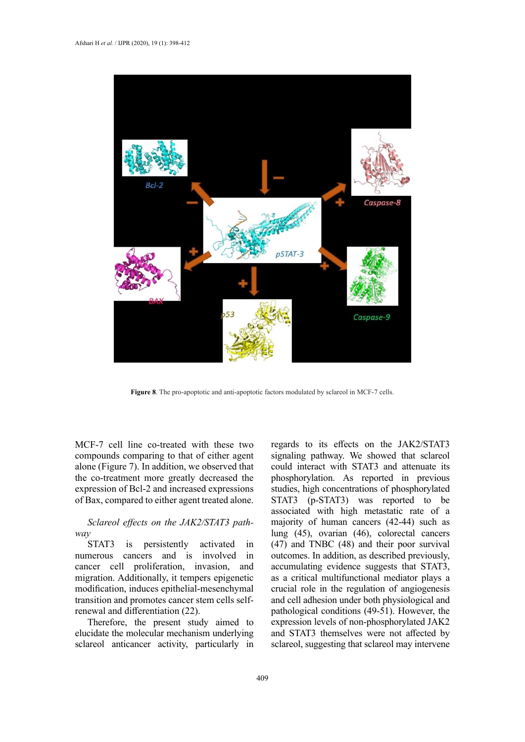

**Figure 8**. The pro-apoptotic and anti-apoptotic factors modulated by sclareol in MCF-7 cells.

MCF-7 cell line co-treated with these two compounds comparing to that of either agent alone (Figure 7). In addition, we observed that the co-treatment more greatly decreased the expression of Bcl-2 and increased expressions of Bax, compared to either agent treated alone.

# *Sclareol effects on the JAK2/STAT3 pathway*

STAT3 is persistently activated in numerous cancers and is involved in cancer cell proliferation, invasion, and migration. Additionally, it tempers epigenetic modification, induces epithelial-mesenchymal transition and promotes cancer stem cells selfrenewal and differentiation (22).

Therefore, the present study aimed to elucidate the molecular mechanism underlying sclareol anticancer activity, particularly in regards to its effects on the JAK2/STAT3 signaling pathway. We showed that sclareol could interact with STAT3 and attenuate its phosphorylation. As reported in previous studies, high concentrations of phosphorylated STAT3 (p-STAT3) was reported to be associated with high metastatic rate of a majority of human cancers (42-44) such as lung (45), ovarian (46), colorectal cancers (47) and TNBC (48) and their poor survival outcomes. In addition, as described previously, accumulating evidence suggests that STAT3, as a critical multifunctional mediator plays a crucial role in the regulation of angiogenesis and cell adhesion under both physiological and pathological conditions (49-51). However, the expression levels of non-phosphorylated JAK2 and STAT3 themselves were not affected by sclareol, suggesting that sclareol may intervene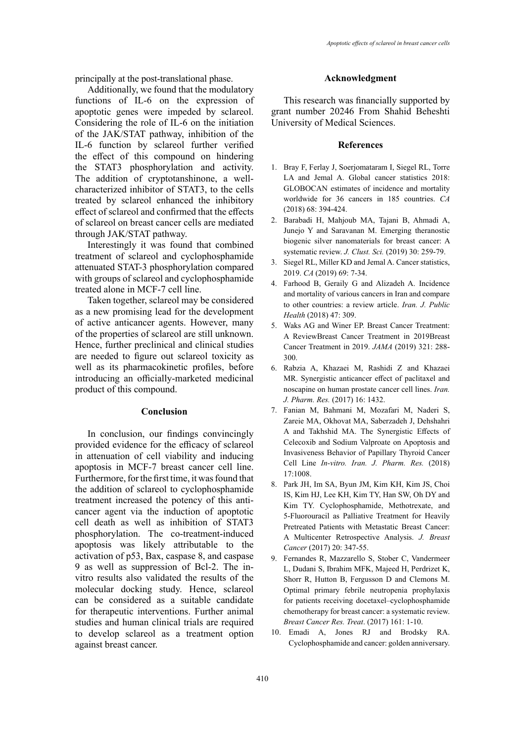principally at the post-translational phase.

Additionally, we found that the modulatory functions of IL-6 on the expression of apoptotic genes were impeded by sclareol. Considering the role of IL-6 on the initiation of the JAK/STAT pathway, inhibition of the IL-6 function by sclareol further verified the effect of this compound on hindering the STAT3 phosphorylation and activity. The addition of cryptotanshinone, a wellcharacterized inhibitor of STAT3, to the cells treated by sclareol enhanced the inhibitory effect of sclareol and confirmed that the effects of sclareol on breast cancer cells are mediated through JAK/STAT pathway.

Interestingly it was found that combined treatment of sclareol and cyclophosphamide attenuated STAT-3 phosphorylation compared with groups of sclareol and cyclophosphamide treated alone in MCF-7 cell line.

Taken together, sclareol may be considered as a new promising lead for the development of active anticancer agents. However, many of the properties of sclareol are still unknown. Hence, further preclinical and clinical studies are needed to figure out sclareol toxicity as well as its pharmacokinetic profiles, before introducing an officially-marketed medicinal product of this compound.

## **Conclusion**

In conclusion, our findings convincingly provided evidence for the efficacy of sclareol in attenuation of cell viability and inducing apoptosis in MCF-7 breast cancer cell line. Furthermore, for the first time, it was found that the addition of sclareol to cyclophosphamide treatment increased the potency of this anticancer agent via the induction of apoptotic cell death as well as inhibition of STAT3 phosphorylation. The co-treatment-induced apoptosis was likely attributable to the activation of p53, Bax, caspase 8, and caspase 9 as well as suppression of Bcl-2. The invitro results also validated the results of the molecular docking study. Hence, sclareol can be considered as a suitable candidate for therapeutic interventions. Further animal studies and human clinical trials are required to develop sclareol as a treatment option against breast cancer.

#### **Acknowledgment**

This research was financially supported by grant number 20246 From Shahid Beheshti University of Medical Sciences.

#### **References**

- 1. Bray F, Ferlay J, Soerjomataram I, Siegel RL, Torre LA and Jemal A. Global cancer statistics 2018: GLOBOCAN estimates of incidence and mortality worldwide for 36 cancers in 185 countries. *CA*  (2018) 68: 394-424.
- 2. Barabadi H, Mahjoub MA, Tajani B, Ahmadi A, Junejo Y and Saravanan M. Emerging theranostic biogenic silver nanomaterials for breast cancer: A systematic review. *J. Clust. Sci.* (2019) 30: 259-79.
- 3. Siegel RL, Miller KD and Jemal A. Cancer statistics, 2019. *CA* (2019) 69: 7-34.
- 4. Farhood B, Geraily G and Alizadeh A. Incidence and mortality of various cancers in Iran and compare to other countries: a review article. *Iran. J. Public Health* (2018) 47: 309.
- 5. Waks AG and Winer EP. Breast Cancer Treatment: A ReviewBreast Cancer Treatment in 2019Breast Cancer Treatment in 2019. *JAMA* (2019) 321: 288- 300.
- 6. Rabzia A, Khazaei M, Rashidi Z and Khazaei MR. Synergistic anticancer effect of paclitaxel and noscapine on human prostate cancer cell lines. *Iran. J. Pharm. Res.* (2017) 16: 1432.
- 7. Fanian M, Bahmani M, Mozafari M, Naderi S, Zareie MA, Okhovat MA, Saberzadeh J, Dehshahri A and Takhshid MA. The Synergistic Effects of Celecoxib and Sodium Valproate on Apoptosis and Invasiveness Behavior of Papillary Thyroid Cancer Cell Line *In-vitro. Iran. J. Pharm. Res.* (2018) 17:1008.
- 8. Park JH, Im SA, Byun JM, Kim KH, Kim JS, Choi IS, Kim HJ, Lee KH, Kim TY, Han SW, Oh DY and Kim TY. Cyclophosphamide, Methotrexate, and 5-Fluorouracil as Palliative Treatment for Heavily Pretreated Patients with Metastatic Breast Cancer: A Multicenter Retrospective Analysis. *J. Breast Cancer* (2017) 20: 347-55.
- 9. Fernandes R, Mazzarello S, Stober C, Vandermeer L, Dudani S, Ibrahim MFK, Majeed H, Perdrizet K, Shorr R, Hutton B, Fergusson D and Clemons M. Optimal primary febrile neutropenia prophylaxis for patients receiving docetaxel–cyclophosphamide chemotherapy for breast cancer: a systematic review. *Breast Cancer Res. Treat*. (2017) 161: 1-10.
- 10. Emadi A, Jones RJ and Brodsky RA. Cyclophosphamide and cancer: golden anniversary.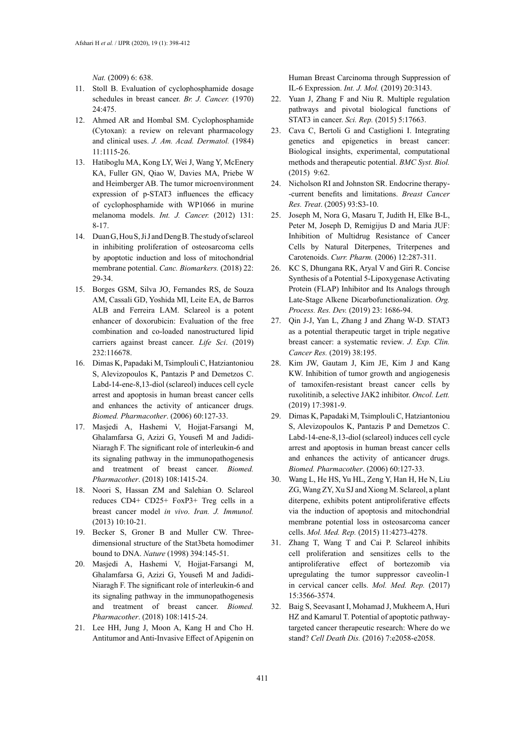*Nat.* (2009) 6: 638.

- 11. Stoll B. Evaluation of cyclophosphamide dosage schedules in breast cancer. *Br. J. Cancer.* (1970) 24:475.
- 12. Ahmed AR and Hombal SM. Cyclophosphamide (Cytoxan): a review on relevant pharmacology and clinical uses. *J. Am. Acad. Dermatol.* (1984) 11:1115-26.
- 13. Hatiboglu MA, Kong LY, Wei J, Wang Y, McEnery KA, Fuller GN, Qiao W, Davies MA, Priebe W and Heimberger AB. The tumor microenvironment expression of p‐STAT3 influences the efficacy of cyclophosphamide with WP1066 in murine melanoma models. *Int. J. Cancer.* (2012) 131: 8-17.
- 14. Duan G, Hou S, Ji J and Deng B. The study of sclareol in inhibiting proliferation of osteosarcoma cells by apoptotic induction and loss of mitochondrial membrane potential. *Canc. Biomarkers.* (2018) 22: 29-34.
- 15. Borges GSM, Silva JO, Fernandes RS, de Souza AM, Cassali GD, Yoshida MI, Leite EA, de Barros ALB and Ferreira LAM. Sclareol is a potent enhancer of doxorubicin: Evaluation of the free combination and co-loaded nanostructured lipid carriers against breast cancer. *Life Sci*. (2019) 232:116678.
- 16. Dimas K, Papadaki M, Tsimplouli C, Hatziantoniou S, Alevizopoulos K, Pantazis P and Demetzos C. Labd-14-ene-8,13-diol (sclareol) induces cell cycle arrest and apoptosis in human breast cancer cells and enhances the activity of anticancer drugs. *Biomed. Pharmacother*. (2006) 60:127-33.
- 17. Masjedi A, Hashemi V, Hojjat-Farsangi M, Ghalamfarsa G, Azizi G, Yousefi M and Jadidi-Niaragh F. The significant role of interleukin-6 and its signaling pathway in the immunopathogenesis and treatment of breast cancer. *Biomed. Pharmacother*. (2018) 108:1415-24.
- 18. Noori S, Hassan ZM and Salehian O. Sclareol reduces CD4+ CD25+ FoxP3+ Treg cells in a breast cancer model *in vivo*. *Iran. J. Immunol.*  (2013) 10:10-21.
- 19. Becker S, Groner B and Muller CW. Threedimensional structure of the Stat3beta homodimer bound to DNA. *Nature* (1998) 394:145-51.
- 20. Masjedi A, Hashemi V, Hojjat-Farsangi M, Ghalamfarsa G, Azizi G, Yousefi M and Jadidi-Niaragh F. The significant role of interleukin-6 and its signaling pathway in the immunopathogenesis and treatment of breast cancer. *Biomed. Pharmacother*. (2018) 108:1415-24.
- 21. Lee HH, Jung J, Moon A, Kang H and Cho H. Antitumor and Anti-Invasive Effect of Apigenin on

Human Breast Carcinoma through Suppression of IL-6 Expression. *Int. J. Mol.* (2019) 20:3143.

- 22. Yuan J, Zhang F and Niu R. Multiple regulation pathways and pivotal biological functions of STAT3 in cancer. *Sci. Rep.* (2015) 5:17663.
- 23. Cava C, Bertoli G and Castiglioni I. Integrating genetics and epigenetics in breast cancer: Biological insights, experimental, computational methods and therapeutic potential. *BMC Syst. Biol.*  (2015) 9:62.
- 24. Nicholson RI and Johnston SR. Endocrine therapy- -current benefits and limitations. *Breast Cancer Res. Treat*. (2005) 93:S3-10.
- 25. Joseph M, Nora G, Masaru T, Judith H, Elke B-L, Peter M, Joseph D, Remigijus D and Maria JUF: Inhibition of Multidrug Resistance of Cancer Cells by Natural Diterpenes, Triterpenes and Carotenoids. *Curr. Pharm.* (2006) 12:287-311.
- 26. KC S, Dhungana RK, Aryal V and Giri R. Concise Synthesis of a Potential 5-Lipoxygenase Activating Protein (FLAP) Inhibitor and Its Analogs through Late-Stage Alkene Dicarbofunctionalization. *Org. Process. Res. Dev.* (2019) 23: 1686-94.
- 27. Qin J-J, Yan L, Zhang J and Zhang W-D. STAT3 as a potential therapeutic target in triple negative breast cancer: a systematic review. *J. Exp. Clin. Cancer Res.* (2019) 38:195.
- 28. Kim JW, Gautam J, Kim JE, Kim J and Kang KW. Inhibition of tumor growth and angiogenesis of tamoxifen-resistant breast cancer cells by ruxolitinib, a selective JAK2 inhibitor. *Oncol. Lett.*  (2019) 17:3981-9.
- 29. Dimas K, Papadaki M, Tsimplouli C, Hatziantoniou S, Alevizopoulos K, Pantazis P and Demetzos C. Labd-14-ene-8,13-diol (sclareol) induces cell cycle arrest and apoptosis in human breast cancer cells and enhances the activity of anticancer drugs. *Biomed. Pharmacother*. (2006) 60:127-33.
- 30. Wang L, He HS, Yu HL, Zeng Y, Han H, He N, Liu ZG, Wang ZY, Xu SJ and Xiong M. Sclareol, a plant diterpene, exhibits potent antiproliferative effects via the induction of apoptosis and mitochondrial membrane potential loss in osteosarcoma cancer cells. *Mol. Med. Rep.* (2015) 11:4273-4278.
- 31. Zhang T, Wang T and Cai P. Sclareol inhibits cell proliferation and sensitizes cells to the antiproliferative effect of bortezomib via upregulating the tumor suppressor caveolin-1 in cervical cancer cells. *Mol. Med. Rep.* (2017) 15:3566-3574.
- 32. Baig S, Seevasant I, Mohamad J, Mukheem A, Huri HZ and Kamarul T. Potential of apoptotic pathwaytargeted cancer therapeutic research: Where do we stand? *Cell Death Dis.* (2016) 7:e2058-e2058.